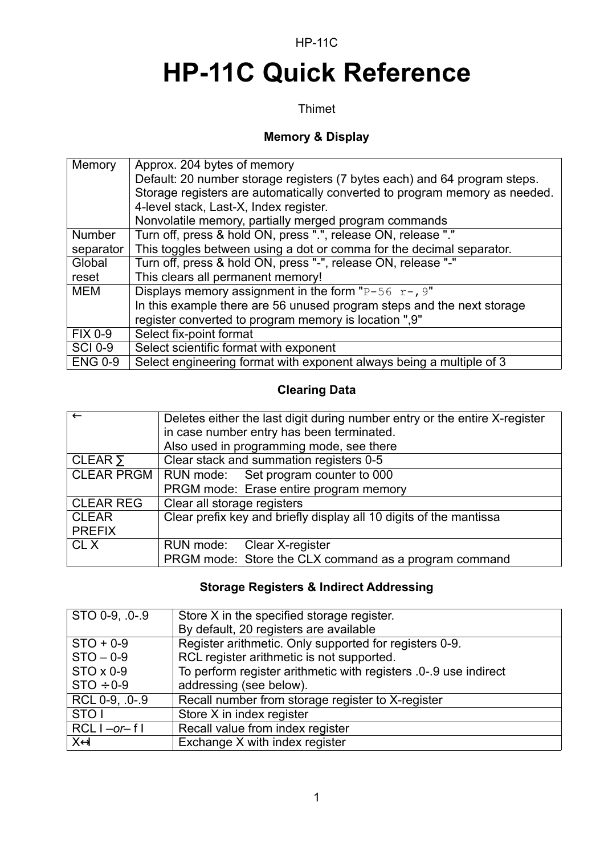#### HP-11C

# **HP-11C Quick Reference**

#### Thimet

### **Memory & Display**

| Memory         | Approx. 204 bytes of memory<br>Default: 20 number storage registers (7 bytes each) and 64 program steps.<br>Storage registers are automatically converted to program memory as needed.<br>4-level stack, Last-X, Index register. |
|----------------|----------------------------------------------------------------------------------------------------------------------------------------------------------------------------------------------------------------------------------|
|                | Nonvolatile memory, partially merged program commands                                                                                                                                                                            |
| <b>Number</b>  | Turn off, press & hold ON, press ".", release ON, release "."                                                                                                                                                                    |
| separator      | This toggles between using a dot or comma for the decimal separator.                                                                                                                                                             |
| Global         | Turn off, press & hold ON, press "-", release ON, release "-"                                                                                                                                                                    |
| reset          | This clears all permanent memory!                                                                                                                                                                                                |
| <b>MEM</b>     | Displays memory assignment in the form "P-56 $r$ -, 9"                                                                                                                                                                           |
|                | In this example there are 56 unused program steps and the next storage                                                                                                                                                           |
|                | register converted to program memory is location ",9"                                                                                                                                                                            |
| <b>FIX 0-9</b> | Select fix-point format                                                                                                                                                                                                          |
| <b>SCI 0-9</b> | Select scientific format with exponent                                                                                                                                                                                           |
| <b>ENG 0-9</b> | Select engineering format with exponent always being a multiple of 3                                                                                                                                                             |

### **Clearing Data**

| $\leftarrow$      | Deletes either the last digit during number entry or the entire X-register |
|-------------------|----------------------------------------------------------------------------|
|                   | in case number entry has been terminated.                                  |
|                   | Also used in programming mode, see there                                   |
| CLEAR $\Sigma$    | Clear stack and summation registers 0-5                                    |
| <b>CLEAR PRGM</b> | RUN mode: Set program counter to 000                                       |
|                   | PRGM mode: Erase entire program memory                                     |
| <b>CLEAR REG</b>  | Clear all storage registers                                                |
| <b>CLEAR</b>      | Clear prefix key and briefly display all 10 digits of the mantissa         |
| <b>PREFIX</b>     |                                                                            |
| CL X              | RUN mode: Clear X-register                                                 |
|                   | PRGM mode: Store the CLX command as a program command                      |

#### **Storage Registers & Indirect Addressing**

| STO 0-9, 0-.9       | Store X in the specified storage register.                      |
|---------------------|-----------------------------------------------------------------|
|                     | By default, 20 registers are available                          |
| $STO + 0-9$         | Register arithmetic. Only supported for registers 0-9.          |
| $STO - 0-9$         | RCL register arithmetic is not supported.                       |
| $STO \times 0-9$    | To perform register arithmetic with registers 0-.9 use indirect |
| $STO \div 0-9$      | addressing (see below).                                         |
| RCL 0-9, .0-.9      | Recall number from storage register to X-register               |
| STO <sub>1</sub>    | Store X in index register                                       |
| $RCL$ $I - or - f$  | Recall value from index register                                |
| $X \leftrightarrow$ | Exchange X with index register                                  |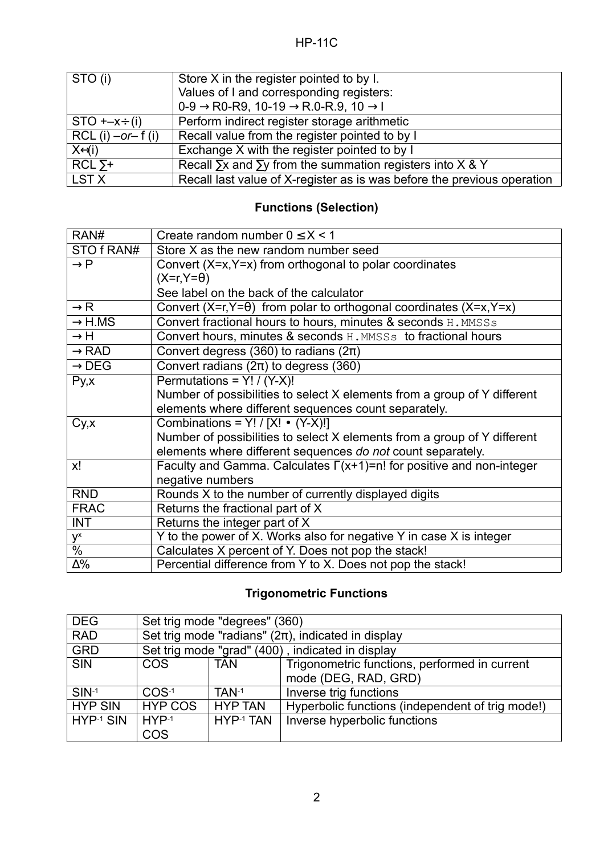| $\vert$ STO (i)       | Store X in the register pointed to by I.                                   |
|-----------------------|----------------------------------------------------------------------------|
|                       | Values of I and corresponding registers:                                   |
|                       | $0-9 \rightarrow R0-R9$ , 10-19 $\rightarrow R.0-R.9$ , 10 $\rightarrow$ l |
| $STO + -x \div (i)$   | Perform indirect register storage arithmetic                               |
| $RCL$ (i) $-or-f$ (i) | Recall value from the register pointed to by I                             |
| $X \leftarrow \{i\}$  | Exchange X with the register pointed to by I                               |
| $RCL \Sigma^+$        | Recall $\Sigma x$ and $\Sigma y$ from the summation registers into X & Y   |
| LST X                 | Recall last value of X-register as is was before the previous operation    |

## **Functions (Selection)**

| RAN#               | Create random number $0 \le X < 1$                                          |
|--------------------|-----------------------------------------------------------------------------|
| STO f RAN#         | Store X as the new random number seed                                       |
| $\rightarrow P$    | Convert $(X=x, Y=x)$ from orthogonal to polar coordinates                   |
|                    | $(X=r, Y=\theta)$                                                           |
|                    | See label on the back of the calculator                                     |
| $\rightarrow$ R    | Convert (X=r, Y= $\theta$ ) from polar to orthogonal coordinates (X=x, Y=x) |
| $\rightarrow$ H.MS | Convert fractional hours to hours, minutes & seconds H. MMSSs               |
| $\rightarrow$ H    | Convert hours, minutes & seconds H. MMSSs to fractional hours               |
| $\rightarrow$ RAD  | Convert degress (360) to radians ( $2\pi$ )                                 |
| $\rightarrow$ DEG  | Convert radians $(2\pi)$ to degress (360)                                   |
| Py, x              | Permutations = $Y! / (Y-X)!$                                                |
|                    | Number of possibilities to select X elements from a group of Y different    |
|                    | elements where different sequences count separately.                        |
| Cy, x              | Combinations = $Y! / [X! \bullet (Y-X)!]$                                   |
|                    | Number of possibilities to select X elements from a group of Y different    |
|                    | elements where different sequences do not count separately.                 |
| x!                 | Faculty and Gamma. Calculates $\Gamma(x+1)=n!$ for positive and non-integer |
|                    | negative numbers                                                            |
| <b>RND</b>         | Rounds X to the number of currently displayed digits                        |
| <b>FRAC</b>        | Returns the fractional part of X                                            |
| <b>INT</b>         | Returns the integer part of X                                               |
| $y^x$              | Y to the power of X. Works also for negative Y in case X is integer         |
| $\%$               | Calculates X percent of Y. Does not pop the stack!                          |
| $\Delta\%$         | Percential difference from Y to X. Does not pop the stack!                  |

## **Trigonometric Functions**

| <b>DEG</b>     |                                                         | Set trig mode "degrees" (360) |                                                  |
|----------------|---------------------------------------------------------|-------------------------------|--------------------------------------------------|
| <b>RAD</b>     | Set trig mode "radians" $(2\pi)$ , indicated in display |                               |                                                  |
| <b>GRD</b>     |                                                         |                               | Set trig mode "grad" (400), indicated in display |
| <b>SIN</b>     | <b>COS</b>                                              | <b>TAN</b>                    | Trigonometric functions, performed in current    |
|                |                                                         |                               | mode (DEG, RAD, GRD)                             |
| $SIN-1$        | $COS-1$                                                 | TAN-1                         | Inverse trig functions                           |
| <b>HYP SIN</b> | <b>HYP COS</b>                                          | <b>HYP TAN</b>                | Hyperbolic functions (independent of trig mode!) |
| $HYP-1$ SIN    | $HYP-1$                                                 | HYP-1 TAN                     | Inverse hyperbolic functions                     |
|                | COS                                                     |                               |                                                  |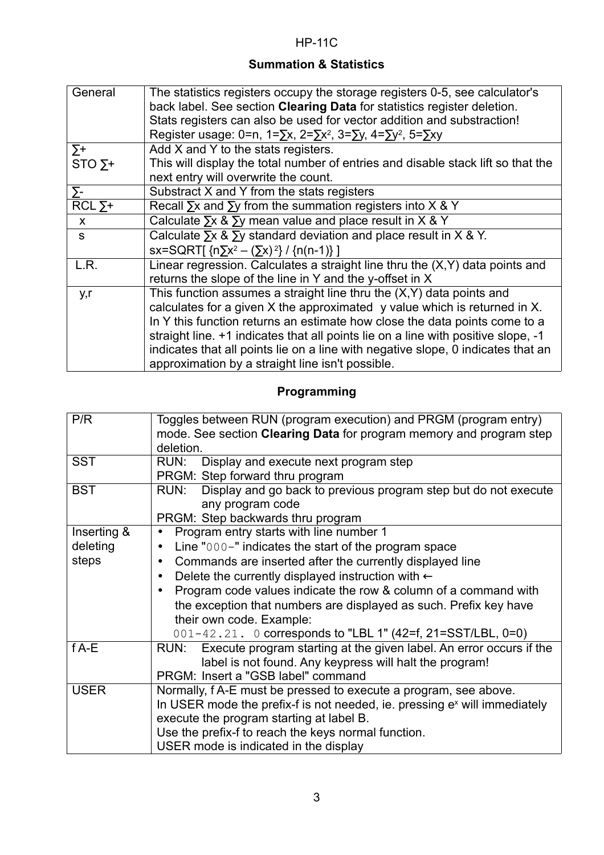## **Summation & Statistics**

| General        | The statistics registers occupy the storage registers 0-5, see calculator's<br>back label. See section Clearing Data for statistics register deletion.<br>Stats registers can also be used for vector addition and substraction!<br>Register usage: 0=n, 1= $\Sigma x$ , 2= $\Sigma x^2$ , 3= $\Sigma y$ , 4= $\Sigma y^2$ , 5= $\Sigma xy$ |
|----------------|---------------------------------------------------------------------------------------------------------------------------------------------------------------------------------------------------------------------------------------------------------------------------------------------------------------------------------------------|
| $\Sigma$ +     | Add X and Y to the stats registers.                                                                                                                                                                                                                                                                                                         |
| STO $\Sigma$ + | This will display the total number of entries and disable stack lift so that the                                                                                                                                                                                                                                                            |
|                | next entry will overwrite the count.                                                                                                                                                                                                                                                                                                        |
| $\Sigma$ -     | Substract X and Y from the stats registers                                                                                                                                                                                                                                                                                                  |
| $RCL \Sigma +$ | Recall $\Sigma x$ and $\Sigma y$ from the summation registers into X & Y                                                                                                                                                                                                                                                                    |
| $\mathsf{x}$   | Calculate $\Sigma x$ & $\Sigma y$ mean value and place result in X & Y                                                                                                                                                                                                                                                                      |
| S              | Calculate $\Sigma x$ & $\Sigma y$ standard deviation and place result in X & Y.                                                                                                                                                                                                                                                             |
|                | sx=SQRT[ $\{n\sum x^2 - (\sum x)^2\}$ / $\{n(n-1)\}\$                                                                                                                                                                                                                                                                                       |
| L.R.           | Linear regression. Calculates a straight line thru the $(X, Y)$ data points and                                                                                                                                                                                                                                                             |
|                | returns the slope of the line in Y and the y-offset in X                                                                                                                                                                                                                                                                                    |
| y,r            | This function assumes a straight line thru the $(X, Y)$ data points and                                                                                                                                                                                                                                                                     |
|                | calculates for a given X the approximated y value which is returned in X.                                                                                                                                                                                                                                                                   |
|                | In Y this function returns an estimate how close the data points come to a                                                                                                                                                                                                                                                                  |
|                | straight line. +1 indicates that all points lie on a line with positive slope, -1                                                                                                                                                                                                                                                           |
|                | indicates that all points lie on a line with negative slope, 0 indicates that an                                                                                                                                                                                                                                                            |
|                | approximation by a straight line isn't possible.                                                                                                                                                                                                                                                                                            |

# **Programming**

| P/R         | Toggles between RUN (program execution) and PRGM (program entry)          |
|-------------|---------------------------------------------------------------------------|
|             | mode. See section Clearing Data for program memory and program step       |
|             | deletion.                                                                 |
| <b>SST</b>  | RUN:<br>Display and execute next program step                             |
|             | PRGM: Step forward thru program                                           |
| <b>BST</b>  | Display and go back to previous program step but do not execute<br>RUN:   |
|             | any program code                                                          |
|             | PRGM: Step backwards thru program                                         |
| Inserting & | Program entry starts with line number 1<br>$\bullet$                      |
| deleting    | Line "000-" indicates the start of the program space<br>$\bullet$         |
| steps       | Commands are inserted after the currently displayed line<br>$\bullet$     |
|             | Delete the currently displayed instruction with $\leftarrow$<br>$\bullet$ |
|             | Program code values indicate the row & column of a command with           |
|             | the exception that numbers are displayed as such. Prefix key have         |
|             | their own code. Example:                                                  |
|             | 001-42.21. 0 corresponds to "LBL 1" (42=f, 21=SST/LBL, 0=0)               |
| $f A-E$     | RUN: Execute program starting at the given label. An error occurs if the  |
|             | label is not found. Any keypress will halt the program!                   |
|             | PRGM: Insert a "GSB label" command                                        |
| <b>USER</b> | Normally, f A-E must be pressed to execute a program, see above.          |
|             | In USER mode the prefix-f is not needed, ie. pressing ex will immediately |
|             | execute the program starting at label B.                                  |
|             | Use the prefix-f to reach the keys normal function.                       |
|             | USER mode is indicated in the display                                     |